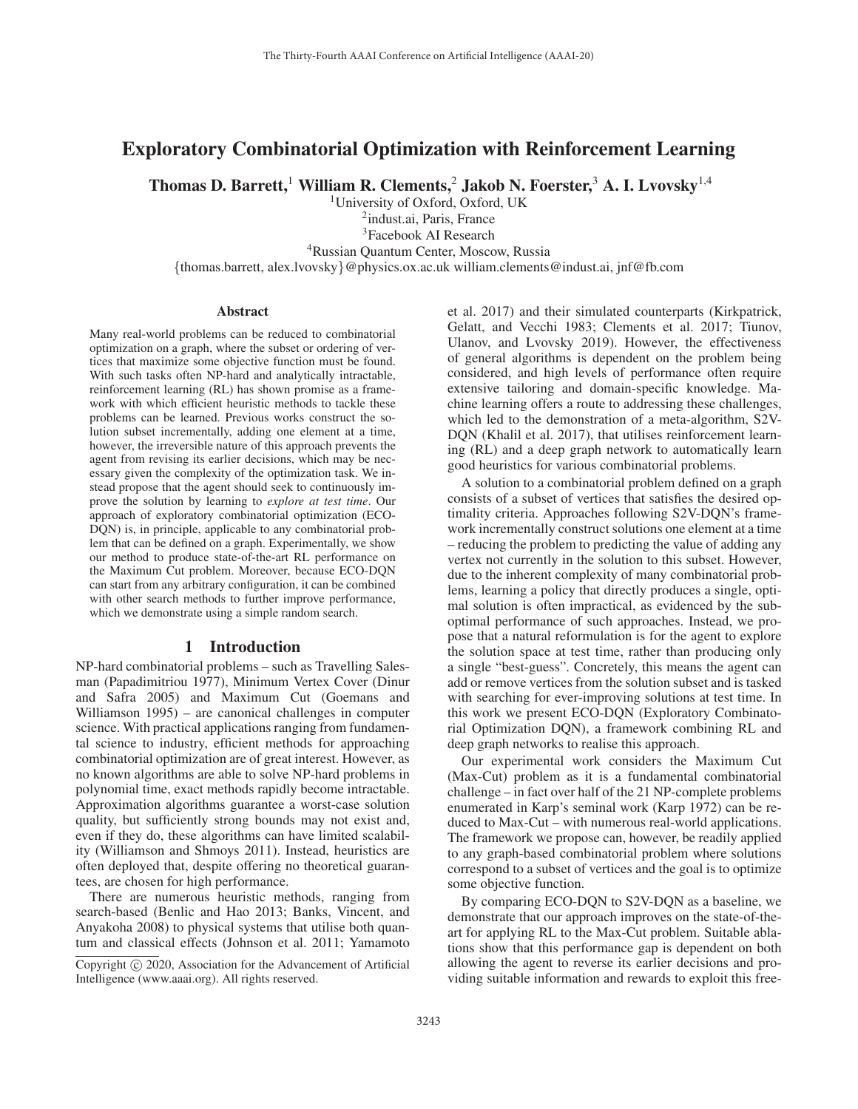# Exploratory Combinatorial Optimization with Reinforcement Learning

Thomas D. Barrett,<sup>1</sup> William R. Clements,<sup>2</sup> Jakob N. Foerster,<sup>3</sup> A. I. Lvovsky<sup>1,4</sup>

1University of Oxford, Oxford, UK

<sup>2</sup>indust.ai, Paris, France 3Facebook AI Research 4Russian Quantum Center, Moscow, Russia {thomas.barrett, alex.lvovsky}@physics.ox.ac.uk william.clements@indust.ai, jnf@fb.com

#### Abstract

Many real-world problems can be reduced to combinatorial optimization on a graph, where the subset or ordering of vertices that maximize some objective function must be found. With such tasks often NP-hard and analytically intractable, reinforcement learning (RL) has shown promise as a framework with which efficient heuristic methods to tackle these problems can be learned. Previous works construct the solution subset incrementally, adding one element at a time, however, the irreversible nature of this approach prevents the agent from revising its earlier decisions, which may be necessary given the complexity of the optimization task. We instead propose that the agent should seek to continuously improve the solution by learning to *explore at test time*. Our approach of exploratory combinatorial optimization (ECO-DQN) is, in principle, applicable to any combinatorial problem that can be defined on a graph. Experimentally, we show our method to produce state-of-the-art RL performance on the Maximum Cut problem. Moreover, because ECO-DQN can start from any arbitrary configuration, it can be combined with other search methods to further improve performance, which we demonstrate using a simple random search.

### 1 Introduction

NP-hard combinatorial problems – such as Travelling Salesman (Papadimitriou 1977), Minimum Vertex Cover (Dinur and Safra 2005) and Maximum Cut (Goemans and Williamson 1995) – are canonical challenges in computer science. With practical applications ranging from fundamental science to industry, efficient methods for approaching combinatorial optimization are of great interest. However, as no known algorithms are able to solve NP-hard problems in polynomial time, exact methods rapidly become intractable. Approximation algorithms guarantee a worst-case solution quality, but sufficiently strong bounds may not exist and, even if they do, these algorithms can have limited scalability (Williamson and Shmoys 2011). Instead, heuristics are often deployed that, despite offering no theoretical guarantees, are chosen for high performance.

There are numerous heuristic methods, ranging from search-based (Benlic and Hao 2013; Banks, Vincent, and Anyakoha 2008) to physical systems that utilise both quantum and classical effects (Johnson et al. 2011; Yamamoto

et al. 2017) and their simulated counterparts (Kirkpatrick, Gelatt, and Vecchi 1983; Clements et al. 2017; Tiunov, Ulanov, and Lvovsky 2019). However, the effectiveness of general algorithms is dependent on the problem being considered, and high levels of performance often require extensive tailoring and domain-specific knowledge. Machine learning offers a route to addressing these challenges, which led to the demonstration of a meta-algorithm, S2V-DQN (Khalil et al. 2017), that utilises reinforcement learning (RL) and a deep graph network to automatically learn good heuristics for various combinatorial problems.

A solution to a combinatorial problem defined on a graph consists of a subset of vertices that satisfies the desired optimality criteria. Approaches following S2V-DQN's framework incrementally construct solutions one element at a time – reducing the problem to predicting the value of adding any vertex not currently in the solution to this subset. However, due to the inherent complexity of many combinatorial problems, learning a policy that directly produces a single, optimal solution is often impractical, as evidenced by the suboptimal performance of such approaches. Instead, we propose that a natural reformulation is for the agent to explore the solution space at test time, rather than producing only a single "best-guess". Concretely, this means the agent can add or remove vertices from the solution subset and is tasked with searching for ever-improving solutions at test time. In this work we present ECO-DQN (Exploratory Combinatorial Optimization DQN), a framework combining RL and deep graph networks to realise this approach.

Our experimental work considers the Maximum Cut (Max-Cut) problem as it is a fundamental combinatorial challenge – in fact over half of the 21 NP-complete problems enumerated in Karp's seminal work (Karp 1972) can be reduced to Max-Cut – with numerous real-world applications. The framework we propose can, however, be readily applied to any graph-based combinatorial problem where solutions correspond to a subset of vertices and the goal is to optimize some objective function.

By comparing ECO-DQN to S2V-DQN as a baseline, we demonstrate that our approach improves on the state-of-theart for applying RL to the Max-Cut problem. Suitable ablations show that this performance gap is dependent on both allowing the agent to reverse its earlier decisions and providing suitable information and rewards to exploit this free-

Copyright  $\odot$  2020, Association for the Advancement of Artificial Intelligence (www.aaai.org). All rights reserved.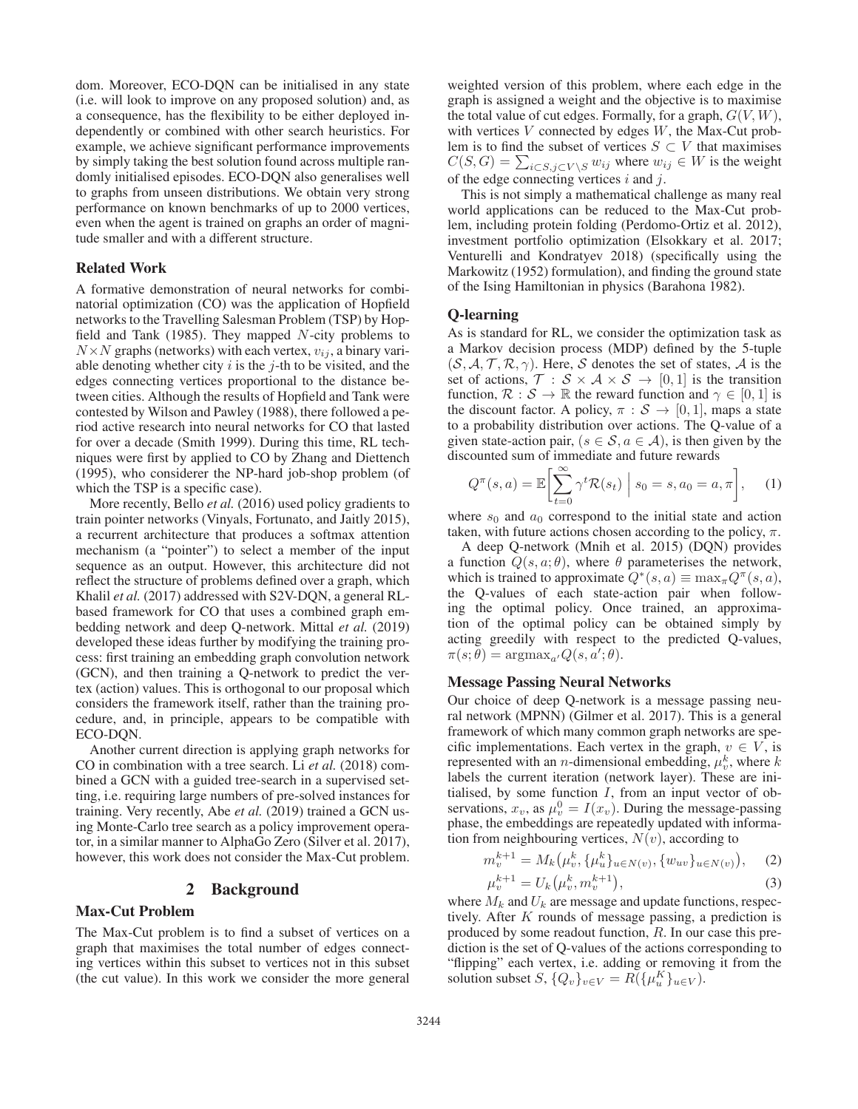dom. Moreover, ECO-DQN can be initialised in any state (i.e. will look to improve on any proposed solution) and, as a consequence, has the flexibility to be either deployed independently or combined with other search heuristics. For example, we achieve significant performance improvements by simply taking the best solution found across multiple randomly initialised episodes. ECO-DQN also generalises well to graphs from unseen distributions. We obtain very strong performance on known benchmarks of up to 2000 vertices, even when the agent is trained on graphs an order of magnitude smaller and with a different structure.

### Related Work

A formative demonstration of neural networks for combinatorial optimization (CO) was the application of Hopfield networks to the Travelling Salesman Problem (TSP) by Hopfield and Tank (1985). They mapped  $N$ -city problems to  $N \times N$  graphs (networks) with each vertex,  $v_{ij}$ , a binary variable denoting whether city  $i$  is the  $j$ -th to be visited, and the edges connecting vertices proportional to the distance between cities. Although the results of Hopfield and Tank were contested by Wilson and Pawley (1988), there followed a period active research into neural networks for CO that lasted for over a decade (Smith 1999). During this time, RL techniques were first by applied to CO by Zhang and Diettench (1995), who considerer the NP-hard job-shop problem (of which the TSP is a specific case).

More recently, Bello *et al.* (2016) used policy gradients to train pointer networks (Vinyals, Fortunato, and Jaitly 2015), a recurrent architecture that produces a softmax attention mechanism (a "pointer") to select a member of the input sequence as an output. However, this architecture did not reflect the structure of problems defined over a graph, which Khalil *et al.* (2017) addressed with S2V-DQN, a general RLbased framework for CO that uses a combined graph embedding network and deep Q-network. Mittal *et al.* (2019) developed these ideas further by modifying the training process: first training an embedding graph convolution network (GCN), and then training a Q-network to predict the vertex (action) values. This is orthogonal to our proposal which considers the framework itself, rather than the training procedure, and, in principle, appears to be compatible with ECO-DQN.

Another current direction is applying graph networks for CO in combination with a tree search. Li *et al.* (2018) combined a GCN with a guided tree-search in a supervised setting, i.e. requiring large numbers of pre-solved instances for training. Very recently, Abe *et al.* (2019) trained a GCN using Monte-Carlo tree search as a policy improvement operator, in a similar manner to AlphaGo Zero (Silver et al. 2017), however, this work does not consider the Max-Cut problem.

#### 2 Background

## Max-Cut Problem

The Max-Cut problem is to find a subset of vertices on a graph that maximises the total number of edges connecting vertices within this subset to vertices not in this subset (the cut value). In this work we consider the more general

weighted version of this problem, where each edge in the graph is assigned a weight and the objective is to maximise the total value of cut edges. Formally, for a graph,  $G(V, W)$ , with vertices  $V$  connected by edges  $W$ , the Max-Cut problem is to find the subset of vertices  $S \subset V$  that maximises  $C(S, G) = \sum_{i \in S, j \in V \setminus S} w_{ij}$  where  $w_{ij} \in W$  is the weight of the edge connecting vertices  $i$  and  $j$ .

This is not simply a mathematical challenge as many real world applications can be reduced to the Max-Cut problem, including protein folding (Perdomo-Ortiz et al. 2012), investment portfolio optimization (Elsokkary et al. 2017; Venturelli and Kondratyev 2018) (specifically using the Markowitz (1952) formulation), and finding the ground state of the Ising Hamiltonian in physics (Barahona 1982).

#### Q-learning

As is standard for RL, we consider the optimization task as a Markov decision process (MDP) defined by the 5-tuple  $(S, A, T, R, \gamma)$ . Here, S denotes the set of states, A is the set of actions,  $\mathcal{T}: \mathcal{S} \times \mathcal{A} \times \mathcal{S} \rightarrow [0, 1]$  is the transition function,  $\mathcal{R}: \mathcal{S} \to \mathbb{R}$  the reward function and  $\gamma \in [0, 1]$  is the discount factor. A policy,  $\pi : \mathcal{S} \to [0, 1]$ , maps a state to a probability distribution over actions. The Q-value of a given state-action pair,  $(s \in S, a \in A)$ , is then given by the discounted sum of immediate and future rewards

$$
Q^{\pi}(s, a) = \mathbb{E}\left[\sum_{t=0}^{\infty} \gamma^t \mathcal{R}(s_t) \middle| s_0 = s, a_0 = a, \pi\right], \quad (1)
$$

where  $s_0$  and  $a_0$  correspond to the initial state and action taken, with future actions chosen according to the policy,  $\pi$ .

A deep Q-network (Mnih et al. 2015) (DQN) provides a function  $Q(s, a; \theta)$ , where  $\theta$  parameterises the network, which is trained to approximate  $Q^*(s, a) \equiv \max_{\pi} Q^{\pi}(s, a)$ , the Q-values of each state-action pair when following the optimal policy. Once trained, an approximation of the optimal policy can be obtained simply by acting greedily with respect to the predicted Q-values,  $\pi(s; \theta) = \operatorname{argmax}_{a'} Q(s, a'; \theta).$ 

#### Message Passing Neural Networks

Our choice of deep Q-network is a message passing neural network (MPNN) (Gilmer et al. 2017). This is a general framework of which many common graph networks are specific implementations. Each vertex in the graph,  $v \in V$ , is represented with an *n*-dimensional embedding,  $\mu_v^k$ , where k labels the current iteration (network layer). These are initialised, by some function  $I$ , from an input vector of observations,  $x_v$ , as  $\mu_v^0 = I(x_v)$ . During the message-passing phase, the embeddings are repeatedly updated with information from neighbouring vertices,  $N(v)$ , according to

$$
m_v^{k+1} = M_k(\mu_v^k, \{\mu_u^k\}_{u \in N(v)}, \{w_{uv}\}_{u \in N(v)}), \quad (2)
$$
  
<sub>k+1</sub> <sub>L, t, k, k+1</sub>

$$
\mu_v^{k+1} = U_k(\mu_v^k, m_v^{k+1}),\tag{3}
$$

where  $M_k$  and  $U_k$  are message and update functions, respectively. After K rounds of message passing, a prediction is produced by some readout function, R. In our case this prediction is the set of Q-values of the actions corresponding to "flipping" each vertex, i.e. adding or removing it from the solution subset  $S, \{Q_v\}_{v \in V} = R(\{\mu_u^K\}_{u \in V})$ .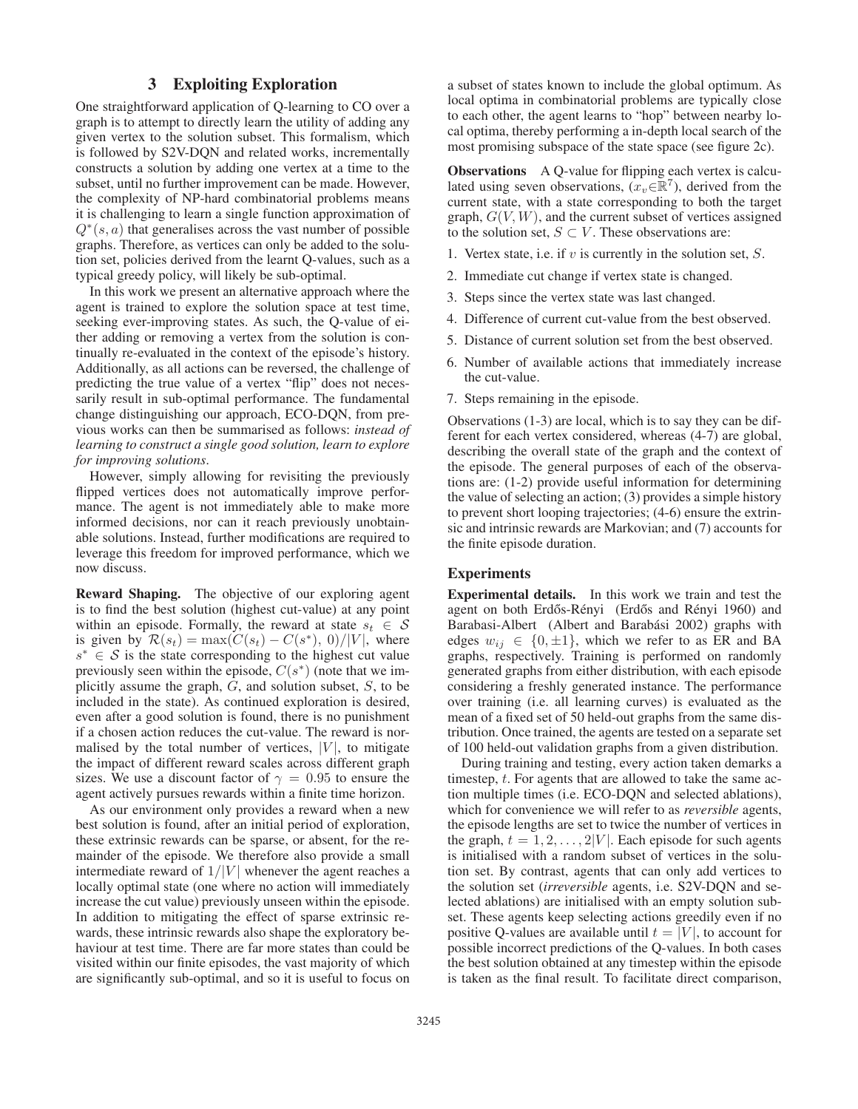## 3 Exploiting Exploration

One straightforward application of Q-learning to CO over a graph is to attempt to directly learn the utility of adding any given vertex to the solution subset. This formalism, which is followed by S2V-DQN and related works, incrementally constructs a solution by adding one vertex at a time to the subset, until no further improvement can be made. However, the complexity of NP-hard combinatorial problems means it is challenging to learn a single function approximation of  $Q<sup>*</sup>(s, a)$  that generalises across the vast number of possible graphs. Therefore, as vertices can only be added to the solution set, policies derived from the learnt Q-values, such as a typical greedy policy, will likely be sub-optimal.

In this work we present an alternative approach where the agent is trained to explore the solution space at test time, seeking ever-improving states. As such, the Q-value of either adding or removing a vertex from the solution is continually re-evaluated in the context of the episode's history. Additionally, as all actions can be reversed, the challenge of predicting the true value of a vertex "flip" does not necessarily result in sub-optimal performance. The fundamental change distinguishing our approach, ECO-DQN, from previous works can then be summarised as follows: *instead of learning to construct a single good solution, learn to explore for improving solutions*.

However, simply allowing for revisiting the previously flipped vertices does not automatically improve performance. The agent is not immediately able to make more informed decisions, nor can it reach previously unobtainable solutions. Instead, further modifications are required to leverage this freedom for improved performance, which we now discuss.

Reward Shaping. The objective of our exploring agent is to find the best solution (highest cut-value) at any point within an episode. Formally, the reward at state  $s_t \in S$ is given by  $\mathcal{R}(s_t) = \max(C(s_t) - C(s^*), 0)/|V|$ , where  $s^* \in S$  is the state corresponding to the highest cut value previously seen within the episode,  $C(s^*)$  (note that we implicitly assume the graph,  $G$ , and solution subset,  $S$ , to be included in the state). As continued exploration is desired, even after a good solution is found, there is no punishment if a chosen action reduces the cut-value. The reward is normalised by the total number of vertices,  $|V|$ , to mitigate the impact of different reward scales across different graph sizes. We use a discount factor of  $\gamma = 0.95$  to ensure the agent actively pursues rewards within a finite time horizon.

As our environment only provides a reward when a new best solution is found, after an initial period of exploration, these extrinsic rewards can be sparse, or absent, for the remainder of the episode. We therefore also provide a small intermediate reward of  $1/|V|$  whenever the agent reaches a locally optimal state (one where no action will immediately increase the cut value) previously unseen within the episode. In addition to mitigating the effect of sparse extrinsic rewards, these intrinsic rewards also shape the exploratory behaviour at test time. There are far more states than could be visited within our finite episodes, the vast majority of which are significantly sub-optimal, and so it is useful to focus on a subset of states known to include the global optimum. As local optima in combinatorial problems are typically close to each other, the agent learns to "hop" between nearby local optima, thereby performing a in-depth local search of the most promising subspace of the state space (see figure 2c).

**Observations** A Q-value for flipping each vertex is calculated using seven observations,  $(x_v \in \mathbb{R}^7)$ , derived from the current state, with a state corresponding to both the target graph,  $G(V, W)$ , and the current subset of vertices assigned to the solution set,  $S \subset V$ . These observations are:

- 1. Vertex state, i.e. if  $v$  is currently in the solution set,  $S$ .
- 2. Immediate cut change if vertex state is changed.
- 3. Steps since the vertex state was last changed.
- 4. Difference of current cut-value from the best observed.
- 5. Distance of current solution set from the best observed.
- 6. Number of available actions that immediately increase the cut-value.
- 7. Steps remaining in the episode.

Observations (1-3) are local, which is to say they can be different for each vertex considered, whereas (4-7) are global, describing the overall state of the graph and the context of the episode. The general purposes of each of the observations are: (1-2) provide useful information for determining the value of selecting an action; (3) provides a simple history to prevent short looping trajectories; (4-6) ensure the extrinsic and intrinsic rewards are Markovian; and (7) accounts for the finite episode duration.

## **Experiments**

Experimental details. In this work we train and test the agent on both Erdős-Rényi (Erdős and Rényi 1960) and Barabasi-Albert (Albert and Barabási 2002) graphs with edges  $w_{ij} \in \{0, \pm 1\}$ , which we refer to as ER and BA graphs, respectively. Training is performed on randomly generated graphs from either distribution, with each episode considering a freshly generated instance. The performance over training (i.e. all learning curves) is evaluated as the mean of a fixed set of 50 held-out graphs from the same distribution. Once trained, the agents are tested on a separate set of 100 held-out validation graphs from a given distribution.

During training and testing, every action taken demarks a timestep,  $t$ . For agents that are allowed to take the same action multiple times (i.e. ECO-DQN and selected ablations), which for convenience we will refer to as *reversible* agents, the episode lengths are set to twice the number of vertices in the graph,  $t = 1, 2, \ldots, 2|V|$ . Each episode for such agents is initialised with a random subset of vertices in the solution set. By contrast, agents that can only add vertices to the solution set (*irreversible* agents, i.e. S2V-DQN and selected ablations) are initialised with an empty solution subset. These agents keep selecting actions greedily even if no positive Q-values are available until  $t = |V|$ , to account for possible incorrect predictions of the Q-values. In both cases the best solution obtained at any timestep within the episode is taken as the final result. To facilitate direct comparison,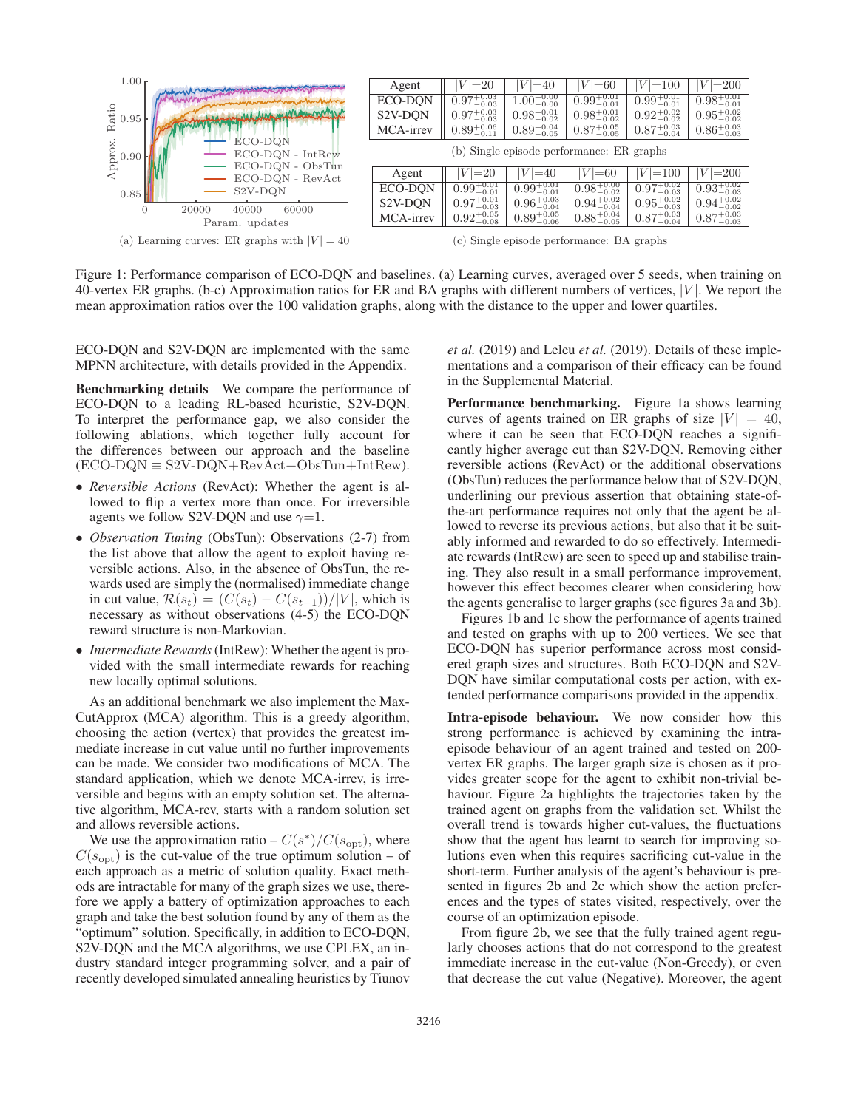

Figure 1: Performance comparison of ECO-DQN and baselines. (a) Learning curves, averaged over 5 seeds, when training on 40-vertex ER graphs. (b-c) Approximation ratios for ER and BA graphs with different numbers of vertices,  $|V|$ . We report the mean approximation ratios over the 100 validation graphs, along with the distance to the upper and lower quartiles.

ECO-DQN and S2V-DQN are implemented with the same MPNN architecture, with details provided in the Appendix.

Benchmarking details We compare the performance of ECO-DQN to a leading RL-based heuristic, S2V-DQN. To interpret the performance gap, we also consider the following ablations, which together fully account for the differences between our approach and the baseline  $(ECO-DQN \equiv S2V-DQN+RevAct+ObsTun+IntRew).$ 

- *Reversible Actions* (RevAct): Whether the agent is allowed to flip a vertex more than once. For irreversible agents we follow S2V-DQN and use  $\gamma=1$ .
- *Observation Tuning* (ObsTun): Observations (2-7) from the list above that allow the agent to exploit having reversible actions. Also, in the absence of ObsTun, the rewards used are simply the (normalised) immediate change in cut value,  $\mathcal{R}(s_t) = (C(s_t) - C(s_{t-1}))/|V|$ , which is necessary as without observations (4-5) the ECO-DQN reward structure is non-Markovian.
- *Intermediate Rewards*(IntRew): Whether the agent is provided with the small intermediate rewards for reaching new locally optimal solutions.

As an additional benchmark we also implement the Max-CutApprox (MCA) algorithm. This is a greedy algorithm, choosing the action (vertex) that provides the greatest immediate increase in cut value until no further improvements can be made. We consider two modifications of MCA. The standard application, which we denote MCA-irrev, is irreversible and begins with an empty solution set. The alternative algorithm, MCA-rev, starts with a random solution set and allows reversible actions.

We use the approximation ratio –  $C(s^*)/C(s_{\text{opt}})$ , where  $C(s_{\text{opt}})$  is the cut-value of the true optimum solution – of each approach as a metric of solution quality. Exact methods are intractable for many of the graph sizes we use, therefore we apply a battery of optimization approaches to each graph and take the best solution found by any of them as the "optimum" solution. Specifically, in addition to ECO-DQN, S2V-DQN and the MCA algorithms, we use CPLEX, an industry standard integer programming solver, and a pair of recently developed simulated annealing heuristics by Tiunov

*et al.* (2019) and Leleu *et al.* (2019). Details of these implementations and a comparison of their efficacy can be found in the Supplemental Material.

Performance benchmarking. Figure 1a shows learning curves of agents trained on ER graphs of size  $|V| = 40$ , where it can be seen that ECO-DQN reaches a significantly higher average cut than S2V-DQN. Removing either reversible actions (RevAct) or the additional observations (ObsTun) reduces the performance below that of S2V-DQN, underlining our previous assertion that obtaining state-ofthe-art performance requires not only that the agent be allowed to reverse its previous actions, but also that it be suitably informed and rewarded to do so effectively. Intermediate rewards (IntRew) are seen to speed up and stabilise training. They also result in a small performance improvement, however this effect becomes clearer when considering how the agents generalise to larger graphs (see figures 3a and 3b).

Figures 1b and 1c show the performance of agents trained and tested on graphs with up to 200 vertices. We see that ECO-DQN has superior performance across most considered graph sizes and structures. Both ECO-DQN and S2V-DON have similar computational costs per action, with extended performance comparisons provided in the appendix.

Intra-episode behaviour. We now consider how this strong performance is achieved by examining the intraepisode behaviour of an agent trained and tested on 200 vertex ER graphs. The larger graph size is chosen as it provides greater scope for the agent to exhibit non-trivial behaviour. Figure 2a highlights the trajectories taken by the trained agent on graphs from the validation set. Whilst the overall trend is towards higher cut-values, the fluctuations show that the agent has learnt to search for improving solutions even when this requires sacrificing cut-value in the short-term. Further analysis of the agent's behaviour is presented in figures 2b and 2c which show the action preferences and the types of states visited, respectively, over the course of an optimization episode.

From figure 2b, we see that the fully trained agent regularly chooses actions that do not correspond to the greatest immediate increase in the cut-value (Non-Greedy), or even that decrease the cut value (Negative). Moreover, the agent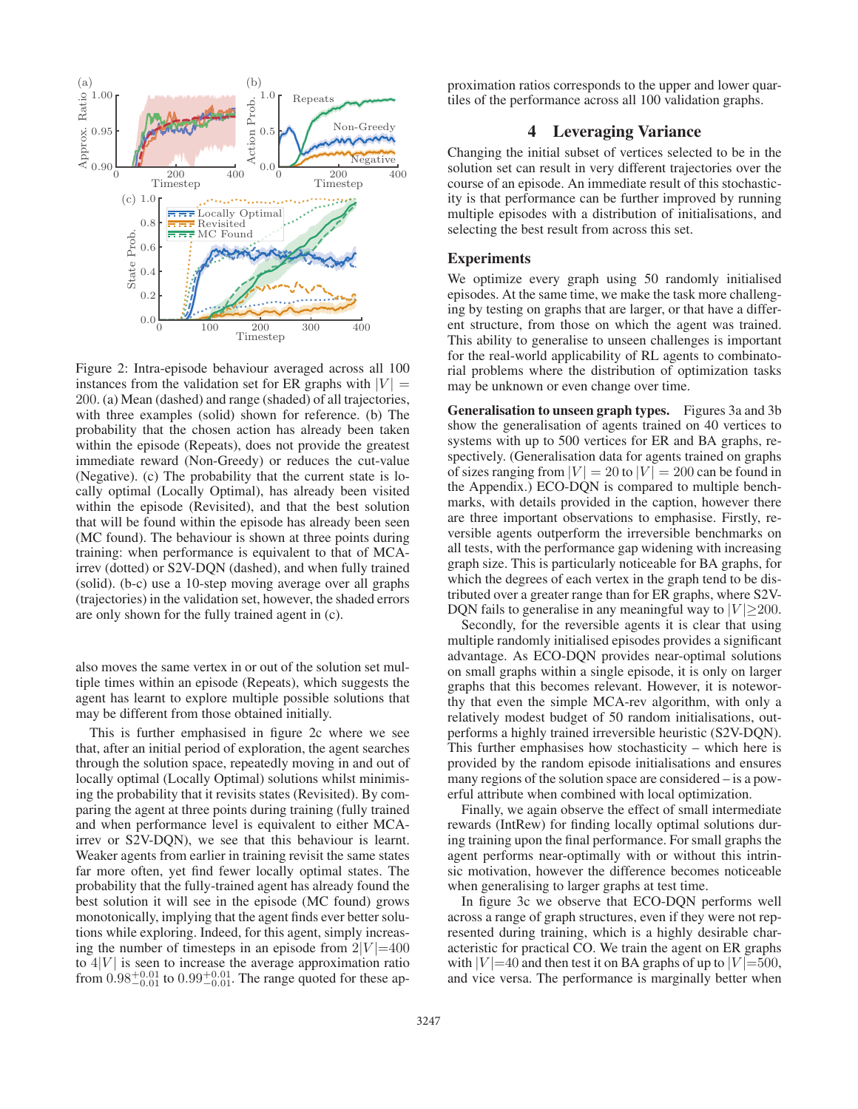

Figure 2: Intra-episode behaviour averaged across all 100 instances from the validation set for ER graphs with  $|V| =$ 200. (a) Mean (dashed) and range (shaded) of all trajectories, with three examples (solid) shown for reference. (b) The probability that the chosen action has already been taken within the episode (Repeats), does not provide the greatest immediate reward (Non-Greedy) or reduces the cut-value (Negative). (c) The probability that the current state is locally optimal (Locally Optimal), has already been visited within the episode (Revisited), and that the best solution that will be found within the episode has already been seen (MC found). The behaviour is shown at three points during training: when performance is equivalent to that of MCAirrev (dotted) or S2V-DQN (dashed), and when fully trained (solid). (b-c) use a 10-step moving average over all graphs (trajectories) in the validation set, however, the shaded errors are only shown for the fully trained agent in (c).

also moves the same vertex in or out of the solution set multiple times within an episode (Repeats), which suggests the agent has learnt to explore multiple possible solutions that may be different from those obtained initially.

This is further emphasised in figure 2c where we see that, after an initial period of exploration, the agent searches through the solution space, repeatedly moving in and out of locally optimal (Locally Optimal) solutions whilst minimising the probability that it revisits states (Revisited). By comparing the agent at three points during training (fully trained and when performance level is equivalent to either MCAirrev or S2V-DQN), we see that this behaviour is learnt. Weaker agents from earlier in training revisit the same states far more often, yet find fewer locally optimal states. The probability that the fully-trained agent has already found the best solution it will see in the episode (MC found) grows monotonically, implying that the agent finds ever better solutions while exploring. Indeed, for this agent, simply increasing the number of timesteps in an episode from  $2|V|=400$ to  $4|V|$  is seen to increase the average approximation ratio from  $0.98^{+0.01}_{-0.01}$  to  $0.99^{+0.01}_{-0.01}$ . The range quoted for these approximation ratios corresponds to the upper and lower quartiles of the performance across all 100 validation graphs.

## 4 Leveraging Variance

Changing the initial subset of vertices selected to be in the solution set can result in very different trajectories over the course of an episode. An immediate result of this stochasticity is that performance can be further improved by running multiple episodes with a distribution of initialisations, and selecting the best result from across this set.

## **Experiments**

We optimize every graph using 50 randomly initialised episodes. At the same time, we make the task more challenging by testing on graphs that are larger, or that have a different structure, from those on which the agent was trained. This ability to generalise to unseen challenges is important for the real-world applicability of RL agents to combinatorial problems where the distribution of optimization tasks may be unknown or even change over time.

Generalisation to unseen graph types. Figures 3a and 3b show the generalisation of agents trained on 40 vertices to systems with up to 500 vertices for ER and BA graphs, respectively. (Generalisation data for agents trained on graphs of sizes ranging from  $|V| = 20$  to  $|V| = 200$  can be found in the Appendix.) ECO-DQN is compared to multiple benchmarks, with details provided in the caption, however there are three important observations to emphasise. Firstly, reversible agents outperform the irreversible benchmarks on all tests, with the performance gap widening with increasing graph size. This is particularly noticeable for BA graphs, for which the degrees of each vertex in the graph tend to be distributed over a greater range than for ER graphs, where S2V-DQN fails to generalise in any meaningful way to  $|V| > 200$ .

Secondly, for the reversible agents it is clear that using multiple randomly initialised episodes provides a significant advantage. As ECO-DQN provides near-optimal solutions on small graphs within a single episode, it is only on larger graphs that this becomes relevant. However, it is noteworthy that even the simple MCA-rev algorithm, with only a relatively modest budget of 50 random initialisations, outperforms a highly trained irreversible heuristic (S2V-DQN). This further emphasises how stochasticity – which here is provided by the random episode initialisations and ensures many regions of the solution space are considered – is a powerful attribute when combined with local optimization.

Finally, we again observe the effect of small intermediate rewards (IntRew) for finding locally optimal solutions during training upon the final performance. For small graphs the agent performs near-optimally with or without this intrinsic motivation, however the difference becomes noticeable when generalising to larger graphs at test time.

In figure 3c we observe that ECO-DQN performs well across a range of graph structures, even if they were not represented during training, which is a highly desirable characteristic for practical CO. We train the agent on ER graphs with  $|V|$  =40 and then test it on BA graphs of up to  $|V|$  =500, and vice versa. The performance is marginally better when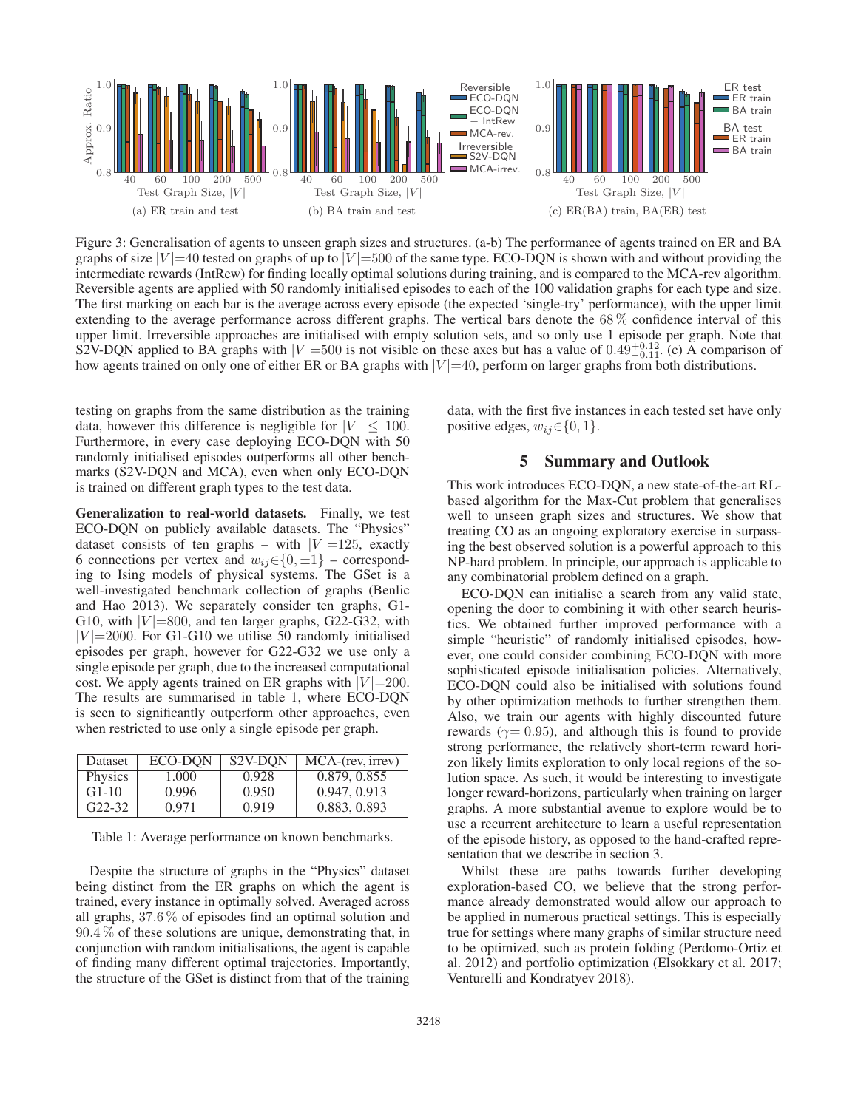

Figure 3: Generalisation of agents to unseen graph sizes and structures. (a-b) The performance of agents trained on ER and BA graphs of size  $|V| = 40$  tested on graphs of up to  $|V| = 500$  of the same type. ECO-DQN is shown with and without providing the intermediate rewards (IntRew) for finding locally optimal solutions during training, and is compared to the MCA-rev algorithm. Reversible agents are applied with 50 randomly initialised episodes to each of the 100 validation graphs for each type and size. The first marking on each bar is the average across every episode (the expected 'single-try' performance), with the upper limit extending to the average performance across different graphs. The vertical bars denote the 68 % confidence interval of this upper limit. Irreversible approaches are initialised with empty solution sets, and so only use 1 episode per graph. Note that S2V-DQN applied to BA graphs with  $|V|=500$  is not visible on these axes but has a value of  $0.49_{-0.11}^{+0.12}$ . (c) A comparison of how agents trained on only one of either ER or BA graphs with  $|V|=40$ , perform on larger graphs from both distributions.

testing on graphs from the same distribution as the training data, however this difference is negligible for  $|V| \leq 100$ . Furthermore, in every case deploying ECO-DQN with 50 randomly initialised episodes outperforms all other benchmarks (S2V-DQN and MCA), even when only ECO-DQN is trained on different graph types to the test data.

Generalization to real-world datasets. Finally, we test ECO-DQN on publicly available datasets. The "Physics" dataset consists of ten graphs – with  $|V|=125$ , exactly 6 connections per vertex and  $w_{ij} \in \{0, \pm 1\}$  – corresponding to Ising models of physical systems. The GSet is a well-investigated benchmark collection of graphs (Benlic and Hao 2013). We separately consider ten graphs, G1- G10, with  $|V|=800$ , and ten larger graphs, G22-G32, with  $|V|$  = 2000. For G1-G10 we utilise 50 randomly initialised episodes per graph, however for G22-G32 we use only a single episode per graph, due to the increased computational cost. We apply agents trained on ER graphs with  $|V|=200$ . The results are summarised in table 1, where ECO-DQN is seen to significantly outperform other approaches, even when restricted to use only a single episode per graph.

| Dataset        | ECO-DON | S <sub>2</sub> V-DON | MCA-(rev, irrev) |
|----------------|---------|----------------------|------------------|
| <b>Physics</b> | 1.000   | 0.928                | 0.879, 0.855     |
| $G1-10$        | 0.996   | 0.950                | 0.947, 0.913     |
| $G22-32$       | 0.971   | 0.919                | 0.883, 0.893     |

Table 1: Average performance on known benchmarks.

Despite the structure of graphs in the "Physics" dataset being distinct from the ER graphs on which the agent is trained, every instance in optimally solved. Averaged across all graphs, 37.6 % of episodes find an optimal solution and 90.4 % of these solutions are unique, demonstrating that, in conjunction with random initialisations, the agent is capable of finding many different optimal trajectories. Importantly, the structure of the GSet is distinct from that of the training data, with the first five instances in each tested set have only positive edges,  $w_{ij} \in \{0, 1\}.$ 

## 5 Summary and Outlook

This work introduces ECO-DQN, a new state-of-the-art RLbased algorithm for the Max-Cut problem that generalises well to unseen graph sizes and structures. We show that treating CO as an ongoing exploratory exercise in surpassing the best observed solution is a powerful approach to this NP-hard problem. In principle, our approach is applicable to any combinatorial problem defined on a graph.

ECO-DQN can initialise a search from any valid state, opening the door to combining it with other search heuristics. We obtained further improved performance with a simple "heuristic" of randomly initialised episodes, however, one could consider combining ECO-DQN with more sophisticated episode initialisation policies. Alternatively, ECO-DQN could also be initialised with solutions found by other optimization methods to further strengthen them. Also, we train our agents with highly discounted future rewards ( $\gamma$ = 0.95), and although this is found to provide strong performance, the relatively short-term reward horizon likely limits exploration to only local regions of the solution space. As such, it would be interesting to investigate longer reward-horizons, particularly when training on larger graphs. A more substantial avenue to explore would be to use a recurrent architecture to learn a useful representation of the episode history, as opposed to the hand-crafted representation that we describe in section 3.

Whilst these are paths towards further developing exploration-based CO, we believe that the strong performance already demonstrated would allow our approach to be applied in numerous practical settings. This is especially true for settings where many graphs of similar structure need to be optimized, such as protein folding (Perdomo-Ortiz et al. 2012) and portfolio optimization (Elsokkary et al. 2017; Venturelli and Kondratyev 2018).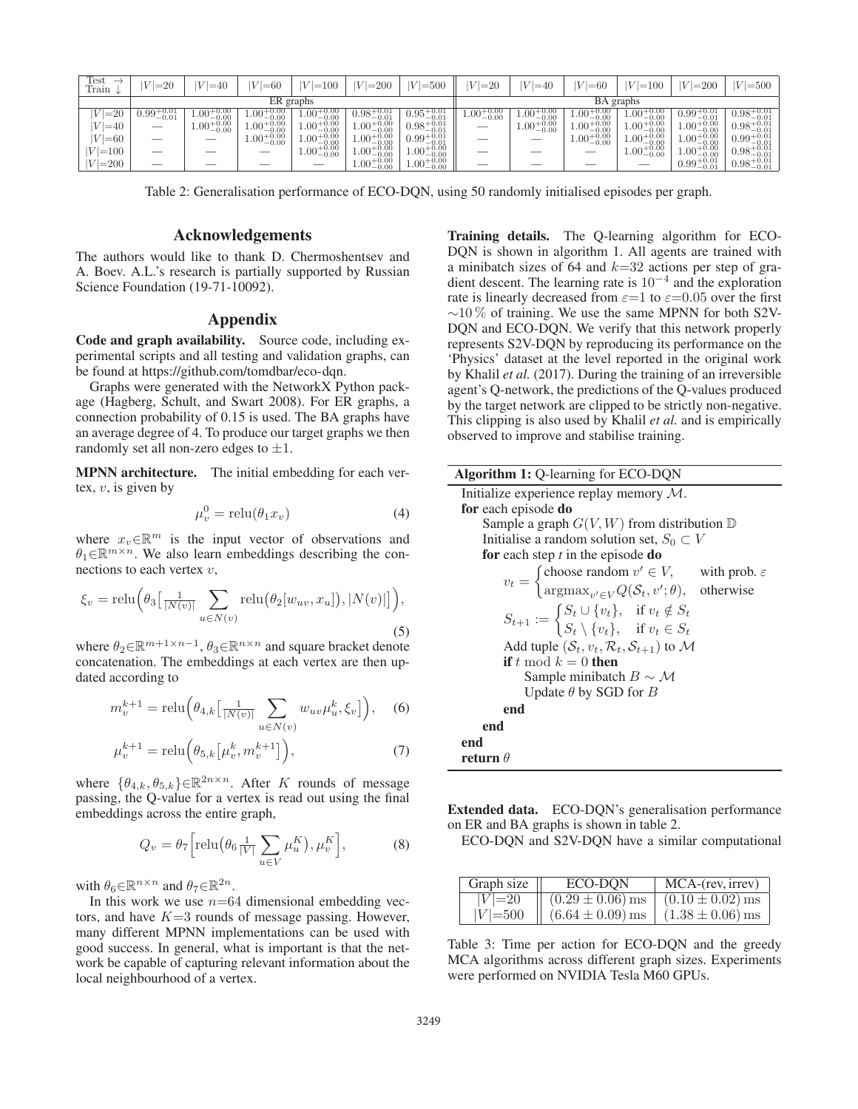| Test<br>Train | $ V =20$                            | $ V =40$                           | $ V =60$                                         | $ V =100$                                                  | $ V =200$                                        | $ V  = 500$                                                                                       | $ V =20$               | $ V =40$               | $ V =60$                                         | $ V =100$                                        | $ V =200$                                        | $ V  = 500$                   |
|---------------|-------------------------------------|------------------------------------|--------------------------------------------------|------------------------------------------------------------|--------------------------------------------------|---------------------------------------------------------------------------------------------------|------------------------|------------------------|--------------------------------------------------|--------------------------------------------------|--------------------------------------------------|-------------------------------|
| ER graphs     |                                     |                                    |                                                  |                                                            | BA graphs                                        |                                                                                                   |                        |                        |                                                  |                                                  |                                                  |                               |
| $ V =20$      | $\frac{+0.01}{-0.01}$<br>$0.99^{+}$ | $1.00^\circ$<br>$^{+0.00}_{-0.00}$ | $1.00^{+0.00}_{-0.00}$                           | $1.00^{+0.00}_{-0.00}$                                     | $0.98^{+0.01}_{-0.01}$                           | $0.95^{+0.01}_{-0.01}$                                                                            | $1.00^{+0.00}_{-0.00}$ | $1.00^{+0.00}_{-0.00}$ | $1.00^{+0.00}_{-0.00}$                           | $^{+0.00}_{-0.00}$<br>$4.00^{+1}$                | $0.99^{+0.01}_{-0.01}$                           | $0.98^{-}$<br>$-0.01$         |
| $ V  = 40$    |                                     | $1.00_{-0.00}^{+0.00}$             |                                                  |                                                            |                                                  |                                                                                                   |                        | $1.00_{-0.00}^{+0.00}$ |                                                  |                                                  |                                                  | 0.01<br>$0.98^{+}$            |
| $ V =60$      | __                                  |                                    | $1.00^{+0.00}_{-0.00}$<br>$1.00^{+0.00}_{-0.00}$ | $\substack{1.00^{+0.00}_{-0.00} \\ 1.00^{+0.00}_{-0.00} }$ | $1.00^{+0.00}_{-0.00}$<br>$1.00^{+0.00}_{-0.00}$ | $0.98^{+0.01}_{-0.01}$<br>0.99 <sup>+0.01</sup><br>0.99 <sup>+0.01</sup><br>1.00 <sup>+0.00</sup> | __                     |                        | $1.00^{+0.00}_{-0.00}$<br>$1.00^{+0.00}_{-0.00}$ | $1.00^{+0.00}_{-0.00}$<br>$1.00^{+0.00}_{-0.00}$ | $1.00^{+0.00}_{-0.00}$<br>$1.00^{+0.00}_{-0.00}$ | 0.01<br>$0.99^{+}$<br>$-0.01$ |
| $ V =100$     | __                                  |                                    |                                                  | $1.00_{-0.00}^{+0.00}$                                     | $1.00_{-0.00}^{+0.00}$                           |                                                                                                   | __                     |                        |                                                  | $1.00_{-0.00}^{+0.00}$                           | $1.00_{-0.00}^{+0.00}$                           | 0.01<br>$0.98^{+7}$<br>0.01   |
| $ V =200$     |                                     |                                    |                                                  |                                                            | $1.00\substack{+0.00\\-0.00}$                    | $1.00\substack{+0.00\\-0.00}$                                                                     |                        |                        |                                                  |                                                  | $0.99_{-0.01}^{+0.01}$                           | $0.98_{-0.01}^{+0.01}$        |

Table 2: Generalisation performance of ECO-DQN, using 50 randomly initialised episodes per graph.

### Acknowledgements

The authors would like to thank D. Chermoshentsev and A. Boev. A.L.'s research is partially supported by Russian Science Foundation (19-71-10092).

### Appendix

Code and graph availability. Source code, including experimental scripts and all testing and validation graphs, can be found at https://github.com/tomdbar/eco-dqn.

Graphs were generated with the NetworkX Python package (Hagberg, Schult, and Swart 2008). For ER graphs, a connection probability of 0.15 is used. The BA graphs have an average degree of 4. To produce our target graphs we then randomly set all non-zero edges to  $\pm 1$ .

MPNN architecture. The initial embedding for each vertex,  $v$ , is given by

$$
\mu_v^0 = \text{relu}(\theta_1 x_v) \tag{4}
$$

where  $x_v \in \mathbb{R}^m$  is the input vector of observations and  $\theta_1 \in \mathbb{R}^{m \times n}$ . We also learn embeddings describing the connections to each vertex  $v$ ,

$$
\xi_v = \text{relu}\Big(\theta_3\big[\tfrac{1}{|N(v)|}\sum_{u \in N(v)} \text{relu}\big(\theta_2[w_{uv}, x_u]\big), |N(v)|\big]\Big),\tag{5}
$$

where  $\theta_2 \in \mathbb{R}^{m+1 \times n-1}$ ,  $\theta_3 \in \mathbb{R}^{n \times n}$  and square bracket denote concatenation. The embeddings at each vertex are then updated according to

$$
m_v^{k+1} = \text{relu}\left(\theta_{4,k}\left[\frac{1}{|N(v)|}\sum_{u \in N(v)} w_{uv}\mu_u^k, \xi_v\right]\right), \quad (6)
$$

$$
\mu_v^{k+1} = \text{relu}\Big(\theta_{5,k}\big[\mu_v^k, m_v^{k+1}\big]\Big),\tag{7}
$$

where  $\{\theta_{4,k}, \theta_{5,k}\}\in \mathbb{R}^{2n \times n}$ . After K rounds of message passing, the Q-value for a vertex is read out using the final embeddings across the entire graph,

$$
Q_v = \theta_7 \left[ \text{relu}\big(\theta_6 \frac{1}{|V|} \sum_{u \in V} \mu_u^K\big), \mu_v^K \right],\tag{8}
$$

with  $\theta_6 \in \mathbb{R}^{n \times n}$  and  $\theta_7 \in \mathbb{R}^{2n}$ .

In this work we use  $n=64$  dimensional embedding vectors, and have  $K=3$  rounds of message passing. However, many different MPNN implementations can be used with good success. In general, what is important is that the network be capable of capturing relevant information about the local neighbourhood of a vertex.

Training details. The Q-learning algorithm for ECO-DQN is shown in algorithm 1. All agents are trained with a minibatch sizes of 64 and  $k=32$  actions per step of gradient descent. The learning rate is 10−<sup>4</sup> and the exploration rate is linearly decreased from  $\varepsilon=1$  to  $\varepsilon=0.05$  over the first  $\sim$ 10% of training. We use the same MPNN for both S2V-DQN and ECO-DQN. We verify that this network properly represents S2V-DQN by reproducing its performance on the 'Physics' dataset at the level reported in the original work by Khalil *et al.* (2017). During the training of an irreversible agent's Q-network, the predictions of the Q-values produced by the target network are clipped to be strictly non-negative. This clipping is also used by Khalil *et al.* and is empirically observed to improve and stabilise training.

| <b>Algorithm 1:</b> Q-learning for ECO-DQN                                                                                                                   |  |  |  |  |  |
|--------------------------------------------------------------------------------------------------------------------------------------------------------------|--|--|--|--|--|
| Initialize experience replay memory $\overline{\mathcal{M}}$ .                                                                                               |  |  |  |  |  |
| for each episode do                                                                                                                                          |  |  |  |  |  |
| Sample a graph $G(V, W)$ from distribution $D$                                                                                                               |  |  |  |  |  |
| Initialise a random solution set, $S_0 \subset V$                                                                                                            |  |  |  |  |  |
| for each step $t$ in the episode do                                                                                                                          |  |  |  |  |  |
|                                                                                                                                                              |  |  |  |  |  |
| $v_t = \begin{cases} \text{choose random } v' \in V, \\ \text{argmax}_{v' \in V} Q(S_t, v'; \theta), \text{ otherwise} \end{cases}$ with prob. $\varepsilon$ |  |  |  |  |  |
| $S_{t+1} := \begin{cases} S_t \cup \{v_t\}, & \text{if } v_t \notin S_t \\ S_t \setminus \{v_t\}, & \text{if } v_t \in S_t \end{cases}$                      |  |  |  |  |  |
|                                                                                                                                                              |  |  |  |  |  |
| Add tuple $(S_t, v_t, \mathcal{R}_t, S_{t+1})$ to M                                                                                                          |  |  |  |  |  |
| <b>if</b> t mod $k = 0$ then                                                                                                                                 |  |  |  |  |  |
| Sample minibatch $B \sim M$                                                                                                                                  |  |  |  |  |  |
| Update $\theta$ by SGD for B                                                                                                                                 |  |  |  |  |  |
| end                                                                                                                                                          |  |  |  |  |  |
| end                                                                                                                                                          |  |  |  |  |  |
| end                                                                                                                                                          |  |  |  |  |  |
| return $\theta$                                                                                                                                              |  |  |  |  |  |

Extended data. ECO-DQN's generalisation performance on ER and BA graphs is shown in table 2.

ECO-DQN and S2V-DQN have a similar computational

| Graph size | ECO-DON              | MCA-(rev, irrev)     |
|------------|----------------------|----------------------|
| $ V =20$   | $(0.29 \pm 0.06)$ ms | $(0.10 \pm 0.02)$ ms |
| $ V =500$  | $(6.64 \pm 0.09)$ ms | $(1.38 \pm 0.06)$ ms |

Table 3: Time per action for ECO-DQN and the greedy MCA algorithms across different graph sizes. Experiments were performed on NVIDIA Tesla M60 GPUs.